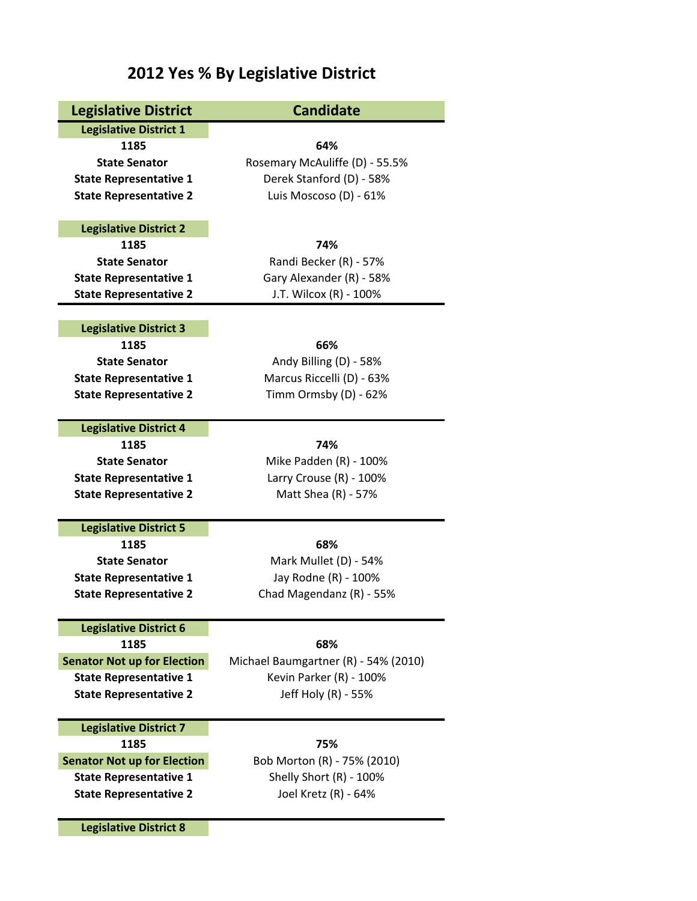## **2012 Yes % By Legislative District**

| <b>Legislative District</b>                                    | <b>Candidate</b>                                  |
|----------------------------------------------------------------|---------------------------------------------------|
| <b>Legislative District 1</b>                                  |                                                   |
| 1185                                                           | 64%                                               |
| <b>State Senator</b>                                           | Rosemary McAuliffe (D) - 55.5%                    |
| <b>State Representative 1</b>                                  | Derek Stanford (D) - 58%                          |
| <b>State Representative 2</b>                                  | Luis Moscoso (D) - 61%                            |
|                                                                |                                                   |
| <b>Legislative District 2</b>                                  |                                                   |
| 1185                                                           | 74%                                               |
| <b>State Senator</b>                                           | Randi Becker (R) - 57%                            |
| <b>State Representative 1</b>                                  | Gary Alexander (R) - 58%                          |
| <b>State Representative 2</b>                                  | J.T. Wilcox (R) - 100%                            |
|                                                                |                                                   |
| <b>Legislative District 3</b>                                  |                                                   |
| 1185                                                           | 66%                                               |
| <b>State Senator</b>                                           | Andy Billing (D) - 58%                            |
| <b>State Representative 1</b>                                  | Marcus Riccelli (D) - 63%                         |
| <b>State Representative 2</b>                                  | Timm Ormsby (D) - 62%                             |
| <b>Legislative District 4</b>                                  |                                                   |
| 1185                                                           | 74%                                               |
| <b>State Senator</b>                                           |                                                   |
|                                                                | Mike Padden (R) - 100%<br>Larry Crouse (R) - 100% |
| <b>State Representative 1</b><br><b>State Representative 2</b> | Matt Shea (R) - 57%                               |
|                                                                |                                                   |
| <b>Legislative District 5</b>                                  |                                                   |
| 1185                                                           | 68%                                               |
| <b>State Senator</b>                                           | Mark Mullet (D) - 54%                             |
| <b>State Representative 1</b>                                  | Jay Rodne (R) - 100%                              |
| <b>State Representative 2</b>                                  | Chad Magendanz (R) - 55%                          |
|                                                                |                                                   |
| <b>Legislative District 6</b>                                  |                                                   |
| 1185                                                           | 68%                                               |
| <b>Senator Not up for Election</b>                             | Michael Baumgartner (R) - 54% (2010)              |
| <b>State Representative 1</b>                                  | Kevin Parker (R) - 100%                           |
| <b>State Representative 2</b>                                  | Jeff Holy (R) - 55%                               |
|                                                                |                                                   |
| <b>Legislative District 7</b><br>1185                          | 75%                                               |
| <b>Senator Not up for Election</b>                             | Bob Morton (R) - 75% (2010)                       |
| <b>State Representative 1</b>                                  | Shelly Short (R) - 100%                           |
| <b>State Representative 2</b>                                  | Joel Kretz (R) - 64%                              |
|                                                                |                                                   |
| <b>Legislative District 8</b>                                  |                                                   |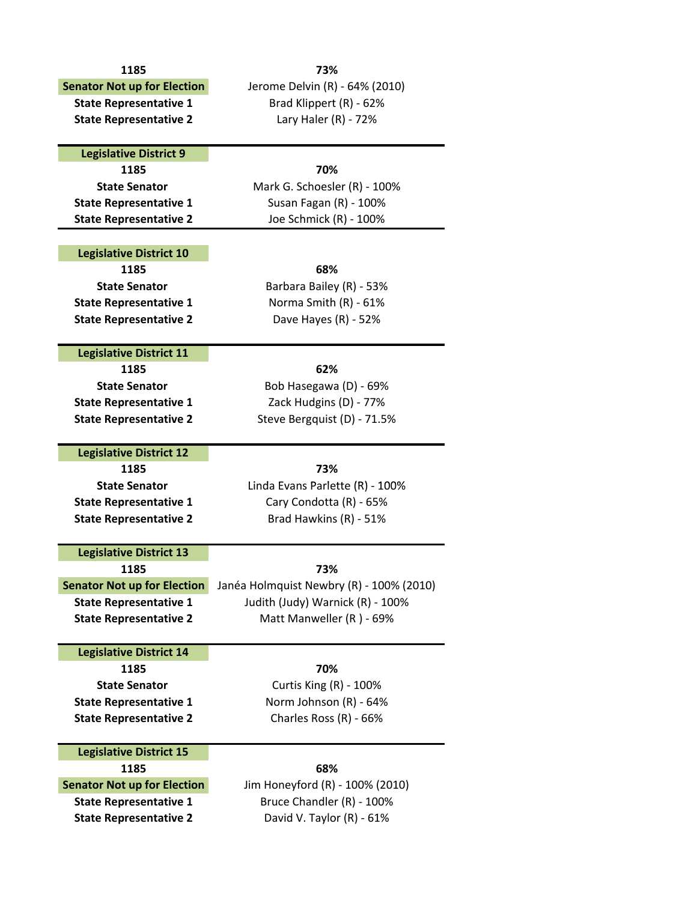| 1185                                   | 73%                                      |
|----------------------------------------|------------------------------------------|
| <b>Senator Not up for Election</b>     | Jerome Delvin (R) - 64% (2010)           |
| <b>State Representative 1</b>          | Brad Klippert (R) - 62%                  |
| <b>State Representative 2</b>          | Lary Haler $(R)$ - 72%                   |
|                                        |                                          |
| <b>Legislative District 9</b>          |                                          |
| 1185                                   | 70%                                      |
| <b>State Senator</b>                   | Mark G. Schoesler (R) - 100%             |
| <b>State Representative 1</b>          | Susan Fagan (R) - 100%                   |
| <b>State Representative 2</b>          | Joe Schmick (R) - 100%                   |
|                                        |                                          |
| <b>Legislative District 10</b>         |                                          |
| 1185                                   | 68%                                      |
| <b>State Senator</b>                   | Barbara Bailey (R) - 53%                 |
| <b>State Representative 1</b>          | Norma Smith (R) - 61%                    |
| <b>State Representative 2</b>          | Dave Hayes (R) - 52%                     |
|                                        |                                          |
| <b>Legislative District 11</b>         |                                          |
| 1185                                   | 62%                                      |
| <b>State Senator</b>                   | Bob Hasegawa (D) - 69%                   |
| <b>State Representative 1</b>          | Zack Hudgins (D) - 77%                   |
| <b>State Representative 2</b>          | Steve Bergquist (D) - 71.5%              |
|                                        |                                          |
| <b>Legislative District 12</b>         |                                          |
| 1185                                   | 73%                                      |
| <b>State Senator</b>                   | Linda Evans Parlette (R) - 100%          |
| <b>State Representative 1</b>          | Cary Condotta (R) - 65%                  |
| <b>State Representative 2</b>          | Brad Hawkins (R) - 51%                   |
|                                        |                                          |
| <b>Legislative District 13</b><br>1185 | 73%                                      |
| <b>Senator Not up for Election</b>     | Janéa Holmquist Newbry (R) - 100% (2010) |
| <b>State Representative 1</b>          | Judith (Judy) Warnick (R) - 100%         |
|                                        | Matt Manweller (R) - 69%                 |
| <b>State Representative 2</b>          |                                          |
| <b>Legislative District 14</b>         |                                          |
| 1185                                   | 70%                                      |
| <b>State Senator</b>                   | Curtis King (R) - 100%                   |
| <b>State Representative 1</b>          | Norm Johnson (R) - 64%                   |
| <b>State Representative 2</b>          | Charles Ross (R) - 66%                   |
|                                        |                                          |
| <b>Legislative District 15</b>         |                                          |
| 1185                                   | 68%                                      |
| <b>Senator Not up for Election</b>     | Jim Honeyford (R) - 100% (2010)          |
| <b>State Representative 1</b>          | Bruce Chandler (R) - 100%                |
| <b>State Representative 2</b>          | David V. Taylor (R) - 61%                |
|                                        |                                          |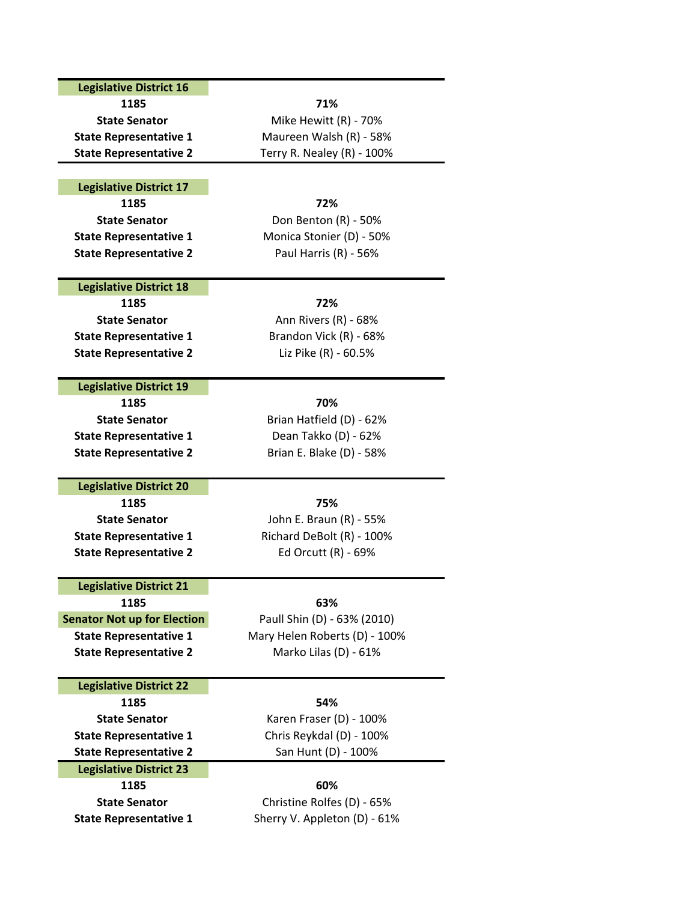### **Legislative District 16**

**1185 71%**

### **Legislative District 17**

**1185 72% State Representative 2** Paul Harris (R) ‐ 56%

### **Legislative District 18**

**1185 72% State Representative 1** Brandon Vick (R) ‐ 68% **State Representative 2** Liz Pike (R) ‐ 60.5%

### **Legislative District 19**

**1185 70% State Representative 1** Dean Takko (D) ‐ 62%

# **20 L iegslative District Di <sup>t</sup> <sup>i</sup> t1185 75%**

**State Representative 2** Ed Orcutt (R) ‐ 69%

### **Legislative District 21**

**1185 63%**

### **Legislative District 22**

**1185 54% State Representative 1** Chris Reykdal (D) ‐ 100% **State Representative 2** San Hunt (D) ‐ 100% **Legislative District 23**

# **1185 60%**

**State Senator** Mike Hewitt (R) - 70% **State Representative 1** Maureen Walsh (R) ‐ 58% **State Representative 2** Terry R. Nealey (R) ‐ 100%

**State Senator** Don Benton (R) - 50% **State Representative 1** Monica Stonier (D) ‐ 50%

**State Senator** Ann Rivers (R) - 68%

**State Senator** Brian Hatfield (D) - 62% **State Representative 2** Brian E. Blake (D) ‐ 58%

**State Senator** John E. Braun (R) ‐ 55% **State Representative 1** Richard DeBolt (R) ‐ 100%

**Senator Not up for Election** Paull Shin (D) ‐ 63% (2010) **State Representative 1** Mary Helen Roberts (D) ‐ 100% **State Representative 2** Marko Lilas (D) ‐ 61%

**State Senator** Karen Fraser (D) - 100%

**State Senator** Christine Rolfes (D) ‐ 65% **State Representative 1** Sherry V. Appleton (D) ‐ 61%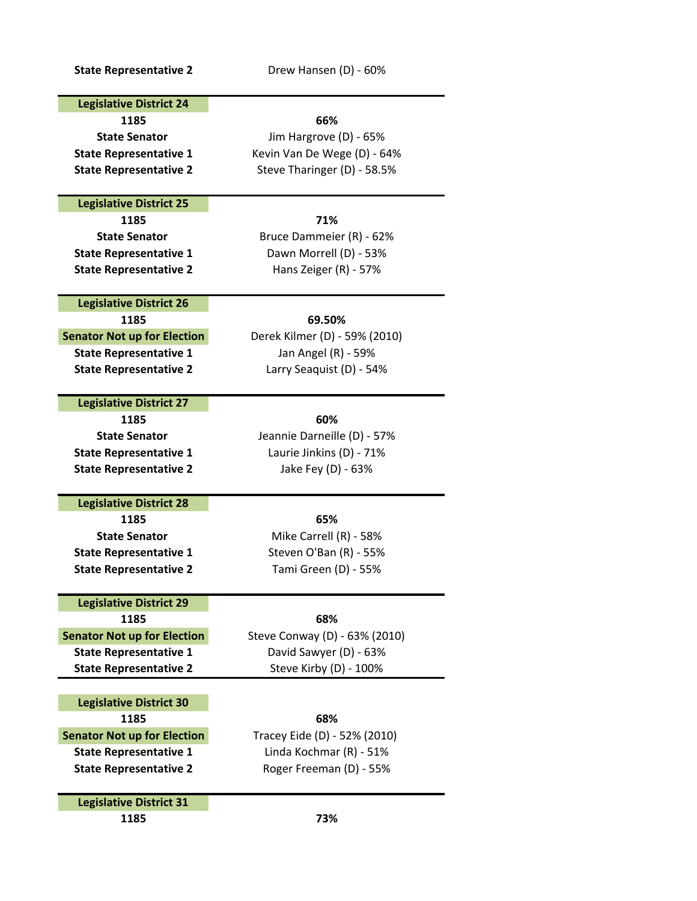**State Representative 2** Drew Hansen (D) ‐ 60%

### **Legislative District 24**

**1185 66% State Senator** Jim Hargrove (D) ‐ 65% **State Representative 1** Kevin Van De Wege (D) ‐ 64% **State Representative 2** Steve Tharinger (D) ‐ 58.5%

### **Legislative District 25**

**1185 71%**

**State Senator** Bruce Dammeier (R) - 62% **State Representative 1** Dawn Morrell (D) ‐ 53% **State Representative 2** Hans Zeiger (R) ‐ 57%

### **Legislative District 26**

**1185 69.50% Senator Not up for Election** Derek Kilmer (D) - 59% (2010) **State Representative 1** Jan Angel (R) ‐ 59% **State Representative 2** Larry Seaquist (D) ‐ 54%

### **Legislative District 27**

**1185 60% State Senator** Jeannie Darneille (D) ‐ 57% **State Representative 1** Laurie Jinkins (D) ‐ 71% **State Representative 2** Jake Fey (D) ‐ 63%

### **Legislative District 28**

**1185 65% State Senator** Mike Carrell (R) - 58% **State Representative 1** Steven O'Ban (R) - 55% **State Representative 2** Tami Green (D) ‐ 55%

### **Legislative District 29**

**1185 68% Senator Not up for Election** Steve Conway (D) - 63% (2010) **State Representative 1** David Sawyer (D) ‐ 63% **State Representative 2** Steve Kirby (D) ‐ 100%

**Legislative District 30 1185 68% Senator Not up for Election** Tracey Eide (D) ‐ 52% (2010) **State Representative 1** Linda Kochmar (R) ‐ 51% **State Representative 2** Roger Freeman (D) ‐ 55%

**Legislative District 31**

**1185 73%**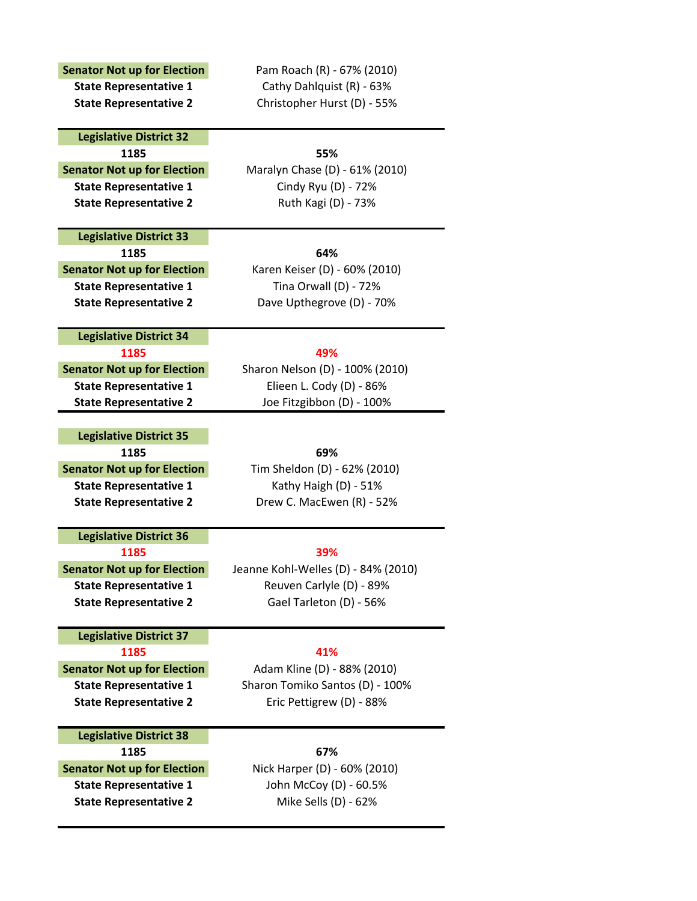| <b>State Representative 1</b><br><b>State Representative 2</b><br><b>Legislative District 32</b><br>1185<br><b>Senator Not up for Election</b><br><b>State Representative 1</b><br><b>State Representative 2</b><br><b>Legislative District 33</b> | Cathy Dahlquist (R) - 63%<br>Christopher Hurst (D) - 55%<br>55%<br>Maralyn Chase (D) - 61% (2010)<br>Cindy Ryu (D) - 72%<br>Ruth Kagi (D) - 73% |
|----------------------------------------------------------------------------------------------------------------------------------------------------------------------------------------------------------------------------------------------------|-------------------------------------------------------------------------------------------------------------------------------------------------|
|                                                                                                                                                                                                                                                    |                                                                                                                                                 |
|                                                                                                                                                                                                                                                    |                                                                                                                                                 |
|                                                                                                                                                                                                                                                    |                                                                                                                                                 |
|                                                                                                                                                                                                                                                    |                                                                                                                                                 |
|                                                                                                                                                                                                                                                    |                                                                                                                                                 |
|                                                                                                                                                                                                                                                    |                                                                                                                                                 |
|                                                                                                                                                                                                                                                    |                                                                                                                                                 |
|                                                                                                                                                                                                                                                    |                                                                                                                                                 |
|                                                                                                                                                                                                                                                    |                                                                                                                                                 |
|                                                                                                                                                                                                                                                    |                                                                                                                                                 |
| 1185                                                                                                                                                                                                                                               | 64%                                                                                                                                             |
| <b>Senator Not up for Election</b>                                                                                                                                                                                                                 | Karen Keiser (D) - 60% (2010)                                                                                                                   |
| <b>State Representative 1</b>                                                                                                                                                                                                                      | Tina Orwall (D) - 72%                                                                                                                           |
| <b>State Representative 2</b>                                                                                                                                                                                                                      | Dave Upthegrove (D) - 70%                                                                                                                       |
|                                                                                                                                                                                                                                                    |                                                                                                                                                 |
| <b>Legislative District 34</b>                                                                                                                                                                                                                     |                                                                                                                                                 |
| 1185                                                                                                                                                                                                                                               | 49%                                                                                                                                             |
| <b>Senator Not up for Election</b>                                                                                                                                                                                                                 | Sharon Nelson (D) - 100% (2010)                                                                                                                 |
| <b>State Representative 1</b>                                                                                                                                                                                                                      | Elieen L. Cody (D) - 86%                                                                                                                        |
| <b>State Representative 2</b>                                                                                                                                                                                                                      | Joe Fitzgibbon (D) - 100%                                                                                                                       |
|                                                                                                                                                                                                                                                    |                                                                                                                                                 |
| <b>Legislative District 35</b>                                                                                                                                                                                                                     |                                                                                                                                                 |
| 1185                                                                                                                                                                                                                                               | 69%                                                                                                                                             |
| <b>Senator Not up for Election</b>                                                                                                                                                                                                                 | Tim Sheldon (D) - 62% (2010)                                                                                                                    |
| <b>State Representative 1</b>                                                                                                                                                                                                                      | Kathy Haigh (D) - 51%                                                                                                                           |
| <b>State Representative 2</b>                                                                                                                                                                                                                      | Drew C. MacEwen (R) - 52%                                                                                                                       |
|                                                                                                                                                                                                                                                    |                                                                                                                                                 |
| <b>Legislative District 36</b>                                                                                                                                                                                                                     |                                                                                                                                                 |
| 1185                                                                                                                                                                                                                                               | 39%                                                                                                                                             |
| <b>Senator Not up for Election</b>                                                                                                                                                                                                                 | Jeanne Kohl-Welles (D) - 84% (2010)                                                                                                             |
| <b>State Representative 1</b>                                                                                                                                                                                                                      | Reuven Carlyle (D) - 89%                                                                                                                        |
| <b>State Representative 2</b>                                                                                                                                                                                                                      | Gael Tarleton (D) - 56%                                                                                                                         |
|                                                                                                                                                                                                                                                    |                                                                                                                                                 |
| <b>Legislative District 37</b>                                                                                                                                                                                                                     |                                                                                                                                                 |
| 1185                                                                                                                                                                                                                                               | 41%                                                                                                                                             |
| <b>Senator Not up for Election</b>                                                                                                                                                                                                                 | Adam Kline (D) - 88% (2010)                                                                                                                     |
| <b>State Representative 1</b>                                                                                                                                                                                                                      | Sharon Tomiko Santos (D) - 100%                                                                                                                 |
| <b>State Representative 2</b>                                                                                                                                                                                                                      | Eric Pettigrew (D) - 88%                                                                                                                        |
|                                                                                                                                                                                                                                                    |                                                                                                                                                 |
| <b>Legislative District 38</b>                                                                                                                                                                                                                     |                                                                                                                                                 |
| 1185                                                                                                                                                                                                                                               | 67%                                                                                                                                             |
| <b>Senator Not up for Election</b>                                                                                                                                                                                                                 | Nick Harper (D) - 60% (2010)                                                                                                                    |
| <b>State Representative 1</b>                                                                                                                                                                                                                      | John McCoy (D) - 60.5%                                                                                                                          |
| <b>State Representative 2</b>                                                                                                                                                                                                                      | Mike Sells (D) - 62%                                                                                                                            |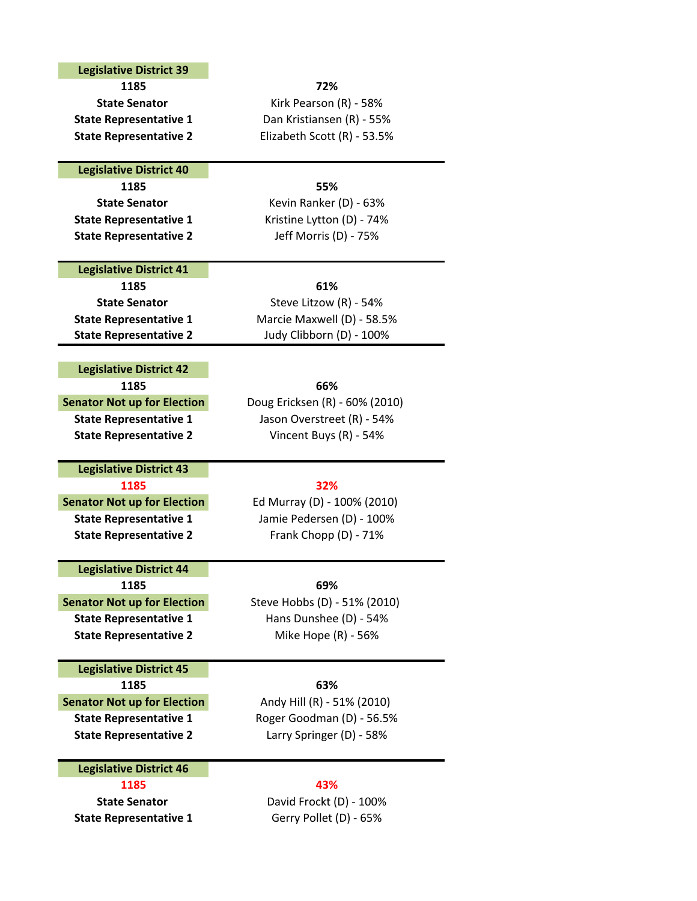### **Legislative District 39**

**1185 72%**

### **Legislative District 40**

**1185 55% State Representative 1** Kristine Lytton (D) ‐ 74% **State Representative 2** Jeff Morris (D) ‐ 75%

### **Legislative District 41**

**1185 61%**

### **Legislative District 42**

**1185 66% Senator Not up for Election** Doug Ericksen (R) - 60% (2010)

### **1185 32% Legislative District 43**

**Senator Not up for Election** Ed Murray (D) ‐ 100% (2010) **State Representative 2** Frank Chopp (D) ‐ 71%

**Legislative District 44 1185 69%**

**State Representative 2** Mike Hope (R) ‐ 56%

### **Legislative District 45**

**1185 63% Senator Not up for Election** Andy Hill (R) - 51% (2010) **State Representative 1** Roger Goodman (D) ‐ 56.5% **State Representative 2** Larry Springer (D) ‐ 58%

### **Legislative District 46**

**1185 43% State Representative 1** Gerry Pollet (D) ‐ 65%

**State Senator** David Frockt (D) ‐ 100%

**State Senator** Kirk Pearson (R) - 58% **State Representative 1** Dan Kristiansen (R) ‐ 55% **State Representative 2** Elizabeth Scott (R) ‐ 53.5%

**State Senator** Kevin Ranker (D) ‐ 63%

**State Senator** Steve Litzow (R) - 54% **State Representative 1** Marcie Maxwell (D) ‐ 58.5% **State Representative 2** Judy Clibborn (D) ‐ 100%

**State Representative 1** Jason Overstreet (R) ‐ 54% **State Representative 2** Vincent Buys (R) ‐ 54%

**State Representative 1** Jamie Pedersen (D) ‐ 100%

**Senator Not up for Election** Steve Hobbs (D) - 51% (2010) **State Representative 1** Hans Dunshee (D) ‐ 54%